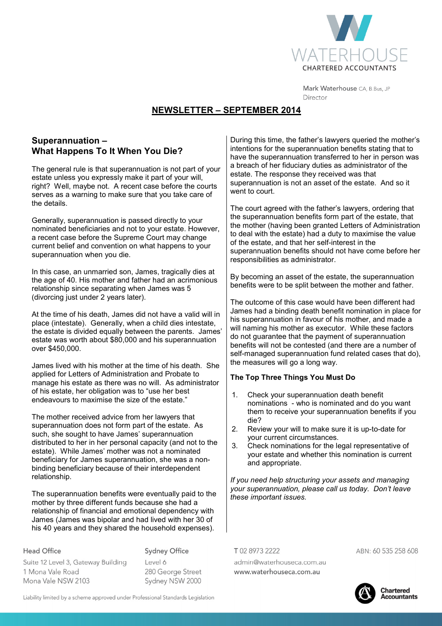

Mark Waterhouse CA, B.Bus, JP Director

# **NEWSLETTER – SEPTEMBER 2014**

## **Superannuation – What Happens To It When You Die?**

The general rule is that superannuation is not part of your estate unless you expressly make it part of your will, right? Well, maybe not. A recent case before the courts serves as a warning to make sure that you take care of the details.

Generally, superannuation is passed directly to your nominated beneficiaries and not to your estate. However, a recent case before the Supreme Court may change current belief and convention on what happens to your superannuation when you die.

In this case, an unmarried son, James, tragically dies at the age of 40. His mother and father had an acrimonious relationship since separating when James was 5 (divorcing just under 2 years later).

At the time of his death, James did not have a valid will in place (intestate). Generally, when a child dies intestate, the estate is divided equally between the parents. James' estate was worth about \$80,000 and his superannuation over \$450,000.

James lived with his mother at the time of his death. She applied for Letters of Administration and Probate to manage his estate as there was no will. As administrator of his estate, her obligation was to "use her best endeavours to maximise the size of the estate."

The mother received advice from her lawyers that superannuation does not form part of the estate. As such, she sought to have James' superannuation distributed to her in her personal capacity (and not to the estate). While James' mother was not a nominated beneficiary for James superannuation, she was a nonbinding beneficiary because of their interdependent relationship.

The superannuation benefits were eventually paid to the mother by three different funds because she had a relationship of financial and emotional dependency with James (James was bipolar and had lived with her 30 of his 40 years and they shared the household expenses).

During this time, the father's lawyers queried the mother's intentions for the superannuation benefits stating that to have the superannuation transferred to her in person was a breach of her fiduciary duties as administrator of the estate. The response they received was that superannuation is not an asset of the estate. And so it went to court.

The court agreed with the father's lawyers, ordering that the superannuation benefits form part of the estate, that the mother (having been granted Letters of Administration to deal with the estate) had a duty to maximise the value of the estate, and that her self-interest in the superannuation benefits should not have come before her responsibilities as administrator.

By becoming an asset of the estate, the superannuation benefits were to be split between the mother and father.

The outcome of this case would have been different had James had a binding death benefit nomination in place for his superannuation in favour of his mother, and made a will naming his mother as executor. While these factors do not guarantee that the payment of superannuation benefits will not be contested (and there are a number of self-managed superannuation fund related cases that do), the measures will go a long way.

### **The Top Three Things You Must Do**

- 1. Check your superannuation death benefit nominations - who is nominated and do you want them to receive your superannuation benefits if you die?
- 2. Review your will to make sure it is up-to-date for your current circumstances.
- 3. Check nominations for the legal representative of your estate and whether this nomination is current and appropriate.

*If you need help structuring your assets and managing your superannuation, please call us today. Don't leave these important issues.* 

T0289732222

Suite 12 Level 3, Gateway Building 1 Mona Vale Road Mona Vale NSW 2103

**Head Office** 

 $|$  evel 6 280 George Street Sydney NSW 2000

**Sydney Office** 

admin@waterhouseca.com.au www.waterhouseca.com.au

ABN: 60 535 258 608



Liability limited by a scheme approved under Professional Standards Legislation